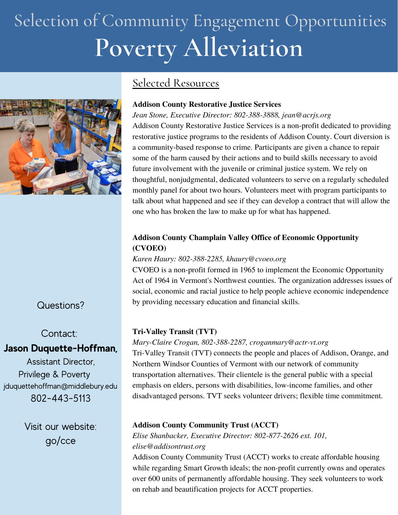## **Poverty Alleviation** Selection of Community Engagement Opportunities



### Selected Resources

#### **Addison County Restorative Justice Services**

*Jean Stone, Executive Director: 802-388-3888, jean@acrjs.org* Addison County Restorative Justice Services is a non-profit dedicated to providing restorative justice programs to the residents of Addison County. Court diversion is a community-based response to crime. Participants are given a chance to repair some of the harm caused by their actions and to build skills necessary to avoid future involvement with the juvenile or criminal justice system. We rely on thoughtful, nonjudgmental, dedicated volunteers to serve on a regularly scheduled monthly panel for about two hours. Volunteers meet with program participants to talk about what happened and see if they can develop a contract that will allow the one who has broken the law to make up for what has happened.

#### **Addison County Champlain Valley Office of Economic Opportunity (CVOEO)**

#### *Karen Haury: 802-388-2285, khaury@cvoeo.org*

CVOEO is a non-profit formed in 1965 to implement the Economic Opportunity Act of 1964 in Vermont's Northwest counties. The organization addresses issues of social, economic and racial justice to help people achieve economic independence by providing necessary education and financial skills.

#### **Tri-Valley Transit (TVT)**

## **Jason Duquette-Hoffman,**

Assistant Director, Privilege & Poverty jduquettehoffman@middlebury.edu 802-443-5113

Questions?

Contact:

Visit our website: go/cce

## *Mary-Claire Crogan, 802-388-2287, croganmary@actr-vt.org* Tri-Valley Transit (TVT) connects the people and places of Addison, Orange, and

Northern Windsor Counties of Vermont with our network of community transportation alternatives. Their clientele is the general public with a special emphasis on elders, persons with disabilities, low-income families, and other disadvantaged persons. TVT seeks volunteer drivers; flexible time commitment.

#### **Addison County Community Trust (ACCT)**

*Elise Shanbacker, Executive Director: 802-877-2626 ext. 101, elise@addisontrust.org*

Addison County Community Trust (ACCT) works to create affordable housing while regarding Smart Growth ideals; the non-profit currently owns and operates over 600 units of permanently affordable housing. They seek volunteers to work on rehab and beautification projects for ACCT properties.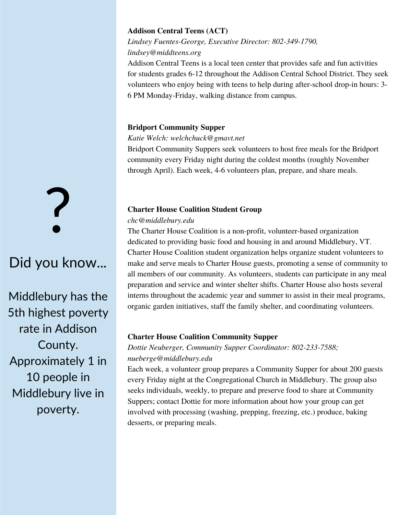#### **Addison Central Teens (ACT)**

*Lindsey Fuentes-George, Executive Director: 802-349-1790, lindsey@middteens.org* Addison Central Teens is a local teen center that provides safe and fun activities

for students grades 6-12 throughout the Addison Central School District. They seek volunteers who enjoy being with teens to help during after-school drop-in hours: 3- 6 PM Monday-Friday, walking distance from campus.

#### **Bridport Community Supper**

*Katie Welch: welchchuck@gmavt.net*

Bridport Community Suppers seek volunteers to host free meals for the Bridport community every Friday night during the coldest months (roughly November through April). Each week, 4-6 volunteers plan, prepare, and share meals.

#### **Charter House Coalition Student Group**

#### *chc@middlebury.edu*

The Charter House Coalition is a non-profit, volunteer-based organization dedicated to providing basic food and housing in and around Middlebury, VT. Charter House Coalition student organization helps organize student volunteers to make and serve meals to Charter House guests, promoting a sense of community to all members of our community. As volunteers, students can participate in any meal preparation and service and winter shelter shifts. Charter House also hosts several interns throughout the academic year and summer to assist in their meal programs, organic garden initiatives, staff the family shelter, and coordinating volunteers.

#### **Charter House Coalition Community Supper**

*Dottie Neuberger, Community Supper Coordinator: 802-233-7588; nueberge@middlebury.edu*

Each week, a volunteer group prepares a Community Supper for about 200 guests every Friday night at the Congregational Church in Middlebury. The group also seeks individuals, weekly, to prepare and preserve food to share at Community Suppers; contact Dottie for more information about how your group can get involved with processing (washing, prepping, freezing, etc.) produce, baking desserts, or preparing meals.

# ?

## Did you know...

Middlebury has the 5th highest poverty rate in Addison County. Approximately 1 in 10 people in Middlebury live in poverty.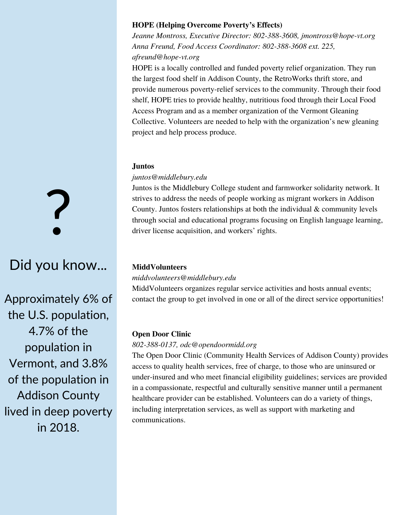#### **HOPE (Helping Overcome Poverty's Effects)**

*Jeanne Montross, Executive Director: 802-388-3608, jmontross@hope-vt.org Anna Freund, Food Access Coordinator: 802-388-3608 ext. 225, afreund@hope-vt.org*

HOPE is a locally controlled and funded poverty relief organization. They run the largest food shelf in Addison County, the RetroWorks thrift store, and provide numerous poverty-relief services to the community. Through their food shelf, HOPE tries to provide healthy, nutritious food through their Local Food Access Program and as a member organization of the Vermont Gleaning Collective. Volunteers are needed to help with the organization's new gleaning project and help process produce.

#### **Juntos**

#### *juntos@middlebury.edu*

Juntos is the Middlebury College student and farmworker solidarity network. It strives to address the needs of people working as migrant workers in Addison County. Juntos fosters relationships at both the individual & community levels through social and educational programs focusing on English language learning, driver license acquisition, and workers' rights.

#### **MiddVolunteers**

#### *middvolunteers@middlebury.edu*

MiddVolunteers organizes regular service activities and hosts annual events; contact the group to get involved in one or all of the direct service opportunities!

#### **Open Door Clinic**

#### *802-388-0137, odc@opendoormidd.org*

The Open Door Clinic (Community Health Services of Addison County) provides access to quality health services, free of charge, to those who are uninsured or under-insured and who meet financial eligibility guidelines; services are provided in a compassionate, respectful and culturally sensitive manner until a permanent healthcare provider can be established. Volunteers can do a variety of things, including interpretation services, as well as support with marketing and communications.

?

## Did you know...

Approximately 6% of the U.S. population, 4.7% of the population in Vermont, and 3.8% of the population in Addison County lived in deep poverty in 2018.